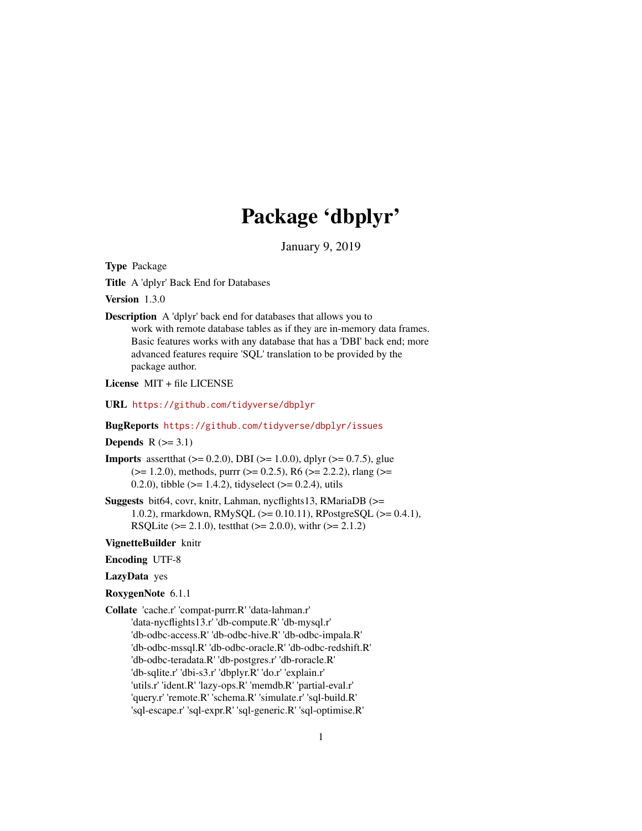# Package 'dbplyr'

January 9, 2019

<span id="page-0-0"></span>Type Package

Title A 'dplyr' Back End for Databases

Version 1.3.0

Description A 'dplyr' back end for databases that allows you to work with remote database tables as if they are in-memory data frames. Basic features works with any database that has a 'DBI' back end; more advanced features require 'SQL' translation to be provided by the package author.

License MIT + file LICENSE

URL <https://github.com/tidyverse/dbplyr>

#### BugReports <https://github.com/tidyverse/dbplyr/issues>

#### Depends  $R$  ( $>= 3.1$ )

- **Imports** assert that  $(>= 0.2.0)$ , DBI  $(>= 1.0.0)$ , dplyr  $(>= 0.7.5)$ , glue  $(>= 1.2.0)$ , methods, purrr  $(>= 0.2.5)$ , R6  $(>= 2.2.2)$ , rlang  $(>= 1.2.0)$ 0.2.0), tibble ( $>= 1.4.2$ ), tidyselect ( $>= 0.2.4$ ), utils
- Suggests bit64, covr, knitr, Lahman, nycflights13, RMariaDB (>= 1.0.2), rmarkdown, RMySQL (>= 0.10.11), RPostgreSQL (>= 0.4.1), RSQLite ( $>= 2.1.0$ ), testthat ( $>= 2.0.0$ ), with ( $>= 2.1.2$ )

#### VignetteBuilder knitr

Encoding UTF-8

# LazyData yes

- RoxygenNote 6.1.1
- Collate 'cache.r' 'compat-purrr.R' 'data-lahman.r' 'data-nycflights13.r' 'db-compute.R' 'db-mysql.r' 'db-odbc-access.R' 'db-odbc-hive.R' 'db-odbc-impala.R' 'db-odbc-mssql.R' 'db-odbc-oracle.R' 'db-odbc-redshift.R' 'db-odbc-teradata.R' 'db-postgres.r' 'db-roracle.R' 'db-sqlite.r' 'dbi-s3.r' 'dbplyr.R' 'do.r' 'explain.r' 'utils.r' 'ident.R' 'lazy-ops.R' 'memdb.R' 'partial-eval.r' 'query.r' 'remote.R' 'schema.R' 'simulate.r' 'sql-build.R' 'sql-escape.r' 'sql-expr.R' 'sql-generic.R' 'sql-optimise.R'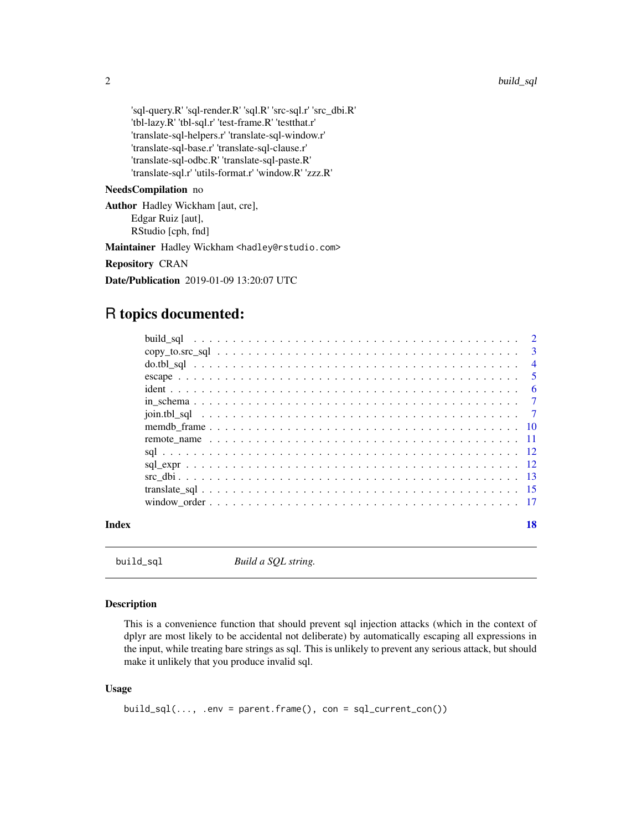<span id="page-1-0"></span>'sql-query.R' 'sql-render.R' 'sql.R' 'src-sql.r' 'src\_dbi.R' 'tbl-lazy.R' 'tbl-sql.r' 'test-frame.R' 'testthat.r' 'translate-sql-helpers.r' 'translate-sql-window.r' 'translate-sql-base.r' 'translate-sql-clause.r' 'translate-sql-odbc.R' 'translate-sql-paste.R' 'translate-sql.r' 'utils-format.r' 'window.R' 'zzz.R'

# NeedsCompilation no

Author Hadley Wickham [aut, cre], Edgar Ruiz [aut], RStudio [cph, fnd]

Maintainer Hadley Wickham <hadley@rstudio.com>

Repository CRAN

Date/Publication 2019-01-09 13:20:07 UTC

# R topics documented:

| Index | 18 |
|-------|----|
|       |    |
|       |    |
|       |    |
|       |    |
|       |    |
|       |    |
|       |    |
|       |    |
|       |    |
|       |    |
|       |    |
|       |    |
|       |    |
|       |    |

build\_sql *Build a SQL string.*

#### Description

This is a convenience function that should prevent sql injection attacks (which in the context of dplyr are most likely to be accidental not deliberate) by automatically escaping all expressions in the input, while treating bare strings as sql. This is unlikely to prevent any serious attack, but should make it unlikely that you produce invalid sql.

#### Usage

```
build_sql(..., .env = parent.frame(), con = sql_current\_con())
```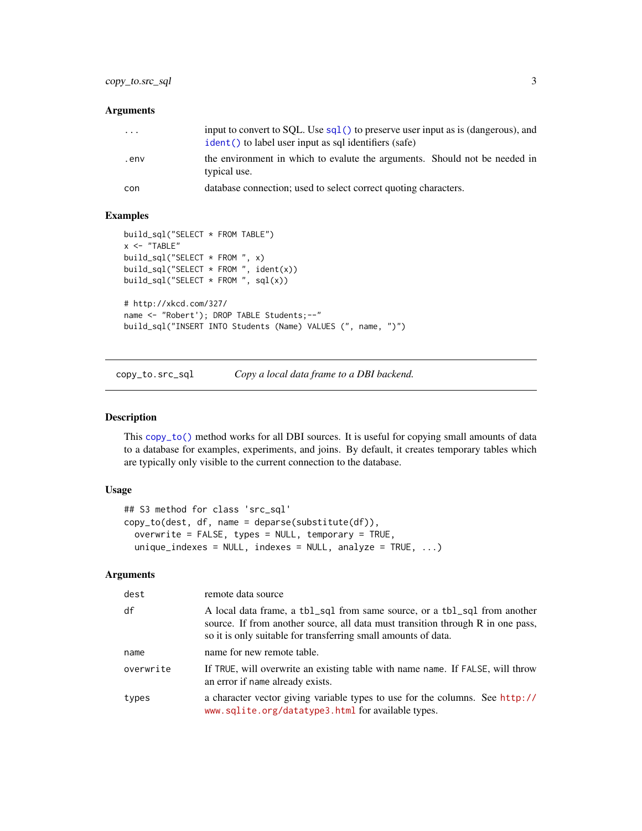# <span id="page-2-0"></span>copy\_to.src\_sql 3

#### Arguments

| $\cdots$ | input to convert to SQL. Use $sq1()$ to preserve user input as is (dangerous), and<br>ident() to label user input as sql identifiers (safe) |
|----------|---------------------------------------------------------------------------------------------------------------------------------------------|
| .env     | the environment in which to evalute the arguments. Should not be needed in<br>typical use.                                                  |
| con      | database connection; used to select correct quoting characters.                                                                             |

#### Examples

```
build_sql("SELECT * FROM TABLE")
x < - "TABLE"
build_sql("SELECT * FROM ", x)
build_sql("SELECT * FROM ", ident(x))
build_sql("SELECT * FROM ", sql(x))
# http://xkcd.com/327/
name <- "Robert'); DROP TABLE Students;--"
build_sql("INSERT INTO Students (Name) VALUES (", name, ")")
```
copy\_to.src\_sql *Copy a local data frame to a DBI backend.*

#### Description

This [copy\\_to\(\)](#page-0-0) method works for all DBI sources. It is useful for copying small amounts of data to a database for examples, experiments, and joins. By default, it creates temporary tables which are typically only visible to the current connection to the database.

#### Usage

```
## S3 method for class 'src_sql'
copy_to(dest, df, name = deparse(substitute(df)),
 overwrite = FALSE, types = NULL, temporary = TRUE,
  unique\_indexes = NULL, indexes = NULL, analyze = TRUE, ...)
```
#### Arguments

| dest      | remote data source                                                                                                                                                                                                             |
|-----------|--------------------------------------------------------------------------------------------------------------------------------------------------------------------------------------------------------------------------------|
| df        | A local data frame, a tbl_sql from same source, or a tbl_sql from another<br>source. If from another source, all data must transition through R in one pass,<br>so it is only suitable for transferring small amounts of data. |
| name      | name for new remote table.                                                                                                                                                                                                     |
| overwrite | If TRUE, will overwrite an existing table with name name. If FALSE, will throw<br>an error if name already exists.                                                                                                             |
| types     | a character vector giving variable types to use for the columns. See http://<br>www.sqlite.org/datatype3.html for available types.                                                                                             |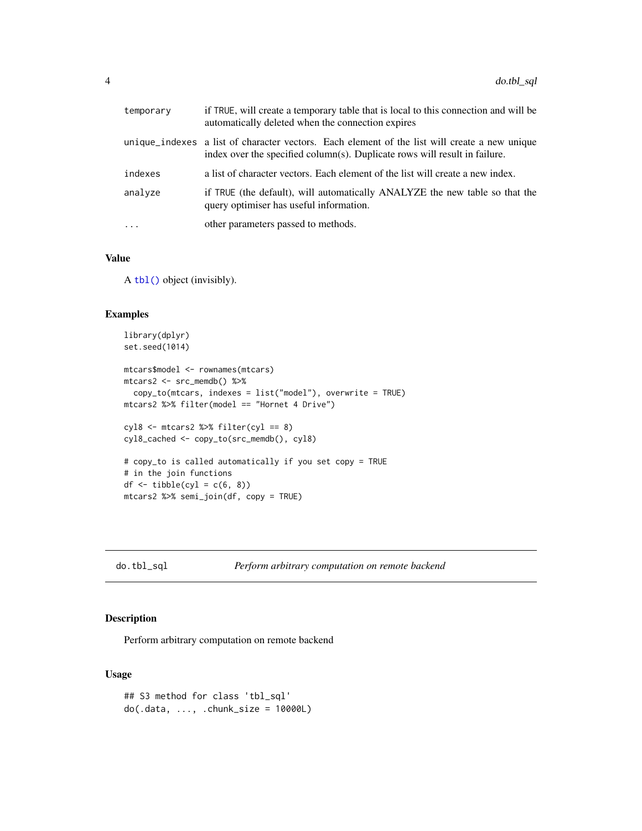<span id="page-3-0"></span>

| temporary  | if TRUE, will create a temporary table that is local to this connection and will be<br>automatically deleted when the connection expires                                    |
|------------|-----------------------------------------------------------------------------------------------------------------------------------------------------------------------------|
|            | unique_indexes a list of character vectors. Each element of the list will create a new unique<br>index over the specified column(s). Duplicate rows will result in failure. |
| indexes    | a list of character vectors. Each element of the list will create a new index.                                                                                              |
| analyze    | if TRUE (the default), will automatically ANALYZE the new table so that the<br>query optimiser has useful information.                                                      |
| $\ddots$ . | other parameters passed to methods.                                                                                                                                         |

#### Value

A [tbl\(\)](#page-0-0) object (invisibly).

#### Examples

```
library(dplyr)
set.seed(1014)
mtcars$model <- rownames(mtcars)
mtcars2 <- src_memdb() %>%
  copy_to(mtcars, indexes = list("model"), overwrite = TRUE)
mtcars2 %>% filter(model == "Hornet 4 Drive")
cyl8 <- mtcars2 %>% filter(cyl == 8)
cyl8_cached <- copy_to(src_memdb(), cyl8)
# copy_to is called automatically if you set copy = TRUE
# in the join functions
df \leftarrow tible(cyl = c(6, 8))mtcars2 %>% semi_join(df, copy = TRUE)
```
do.tbl\_sql *Perform arbitrary computation on remote backend*

#### Description

Perform arbitrary computation on remote backend

#### Usage

```
## S3 method for class 'tbl_sql'
do(.data, ..., .chunk_size = 10000L)
```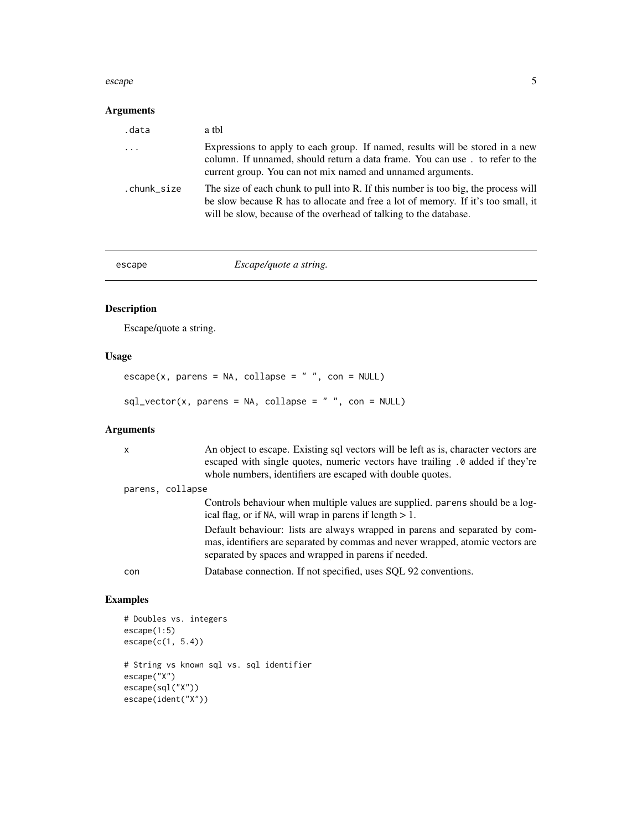#### <span id="page-4-0"></span>escape 5

# Arguments

| .data                   | a tbl                                                                                                                                                                                                                                        |
|-------------------------|----------------------------------------------------------------------------------------------------------------------------------------------------------------------------------------------------------------------------------------------|
| $\cdot$ $\cdot$ $\cdot$ | Expressions to apply to each group. If named, results will be stored in a new<br>column. If unnamed, should return a data frame. You can use. to refer to the<br>current group. You can not mix named and unnamed arguments.                 |
| .chunk_size             | The size of each chunk to pull into R. If this number is too big, the process will<br>be slow because R has to allocate and free a lot of memory. If it's too small, it<br>will be slow, because of the overhead of talking to the database. |

escape *Escape/quote a string.* 

# Description

Escape/quote a string.

# Usage

 $\text{escape}(x, \text{ parents} = \text{NA}, \text{ collapse} = "", \text{con} = \text{NULL})$  $sql\_vector(x, parens = NA, collapse = "", con = NULL)$ 

# Arguments

| x                | An object to escape. Existing sql vectors will be left as is, character vectors are<br>escaped with single quotes, numeric vectors have trailing . 0 added if they're<br>whole numbers, identifiers are escaped with double quotes. |
|------------------|-------------------------------------------------------------------------------------------------------------------------------------------------------------------------------------------------------------------------------------|
| parens, collapse |                                                                                                                                                                                                                                     |
|                  | Controls behaviour when multiple values are supplied. parens should be a log-<br>ical flag, or if NA, will wrap in parent if length $> 1$ .                                                                                         |
|                  | Default behaviour: lists are always wrapped in parens and separated by com-<br>mas, identifiers are separated by commas and never wrapped, atomic vectors are<br>separated by spaces and wrapped in parens if needed.               |
| con              | Database connection. If not specified, uses SQL 92 conventions.                                                                                                                                                                     |
|                  |                                                                                                                                                                                                                                     |

```
# Doubles vs. integers
escape(1:5)
escape(c(1, 5.4))# String vs known sql vs. sql identifier
escape("X")
escape(sql("X"))
escape(ident("X"))
```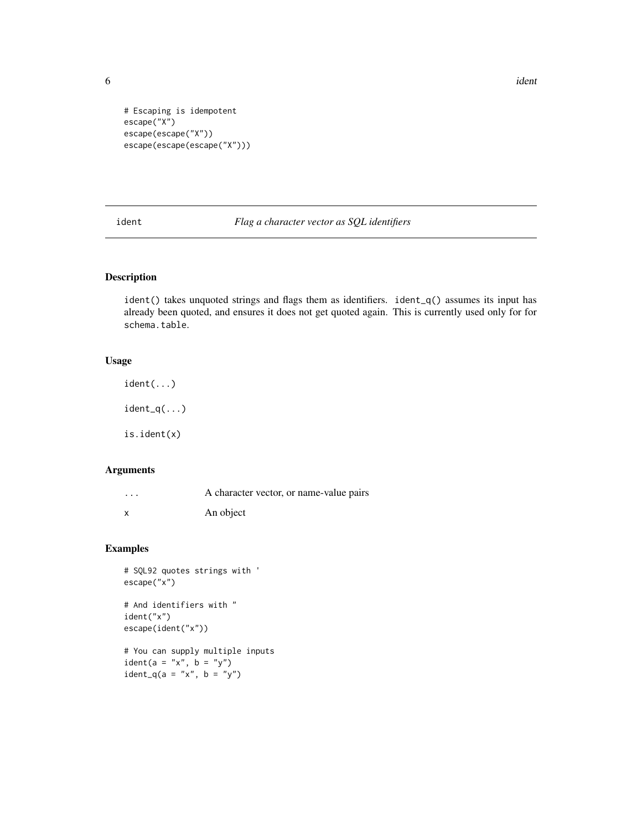$\sim$  6 identified by  $\sim$  identified by  $\sim$  identified by  $\sim$  identified by  $\sim$  identified by  $\sim$  identified by  $\sim$  in  $\sim$  in  $\sim$  in  $\sim$  in  $\sim$  in  $\sim$  in  $\sim$  in  $\sim$  in  $\sim$  in  $\sim$  in  $\sim$  in  $\sim$  in  $\sim$  in

```
# Escaping is idempotent
escape("X")
escape(escape("X"))
escape(escape(escape("X")))
```
<span id="page-5-1"></span>ident *Flag a character vector as SQL identifiers*

# Description

ident() takes unquoted strings and flags them as identifiers. ident\_q() assumes its input has already been quoted, and ensures it does not get quoted again. This is currently used only for for schema.table.

#### Usage

ident(...) ident\_q(...) is.ident(x)

#### Arguments

| $\cdots$ | A character vector, or name-value pairs |
|----------|-----------------------------------------|
|          | An object                               |

# Examples

```
# SQL92 quotes strings with '
escape("x")
# And identifiers with "
ident("x")
escape(ident("x"))
```
# You can supply multiple inputs ident(a = "x", b = "y")  $ident_q(a = "x", b = "y")$ 

<span id="page-5-0"></span>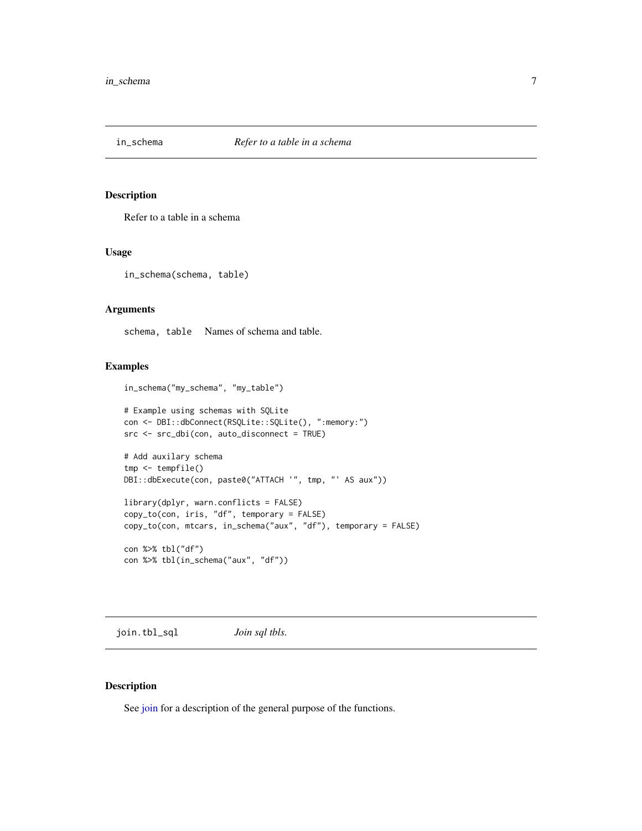<span id="page-6-0"></span>

Refer to a table in a schema

#### Usage

in\_schema(schema, table)

#### **Arguments**

schema, table Names of schema and table.

# Examples

```
in_schema("my_schema", "my_table")
```

```
# Example using schemas with SQLite
con <- DBI::dbConnect(RSQLite::SQLite(), ":memory:")
src <- src_dbi(con, auto_disconnect = TRUE)
```

```
# Add auxilary schema
tmp <- tempfile()
DBI::dbExecute(con, paste0("ATTACH '", tmp, "' AS aux"))
```

```
library(dplyr, warn.conflicts = FALSE)
copy_to(con, iris, "df", temporary = FALSE)
copy_to(con, mtcars, in_schema("aux", "df"), temporary = FALSE)
```
con %>% tbl("df") con %>% tbl(in\_schema("aux", "df"))

join.tbl\_sql *Join sql tbls.*

# Description

See [join](#page-0-0) for a description of the general purpose of the functions.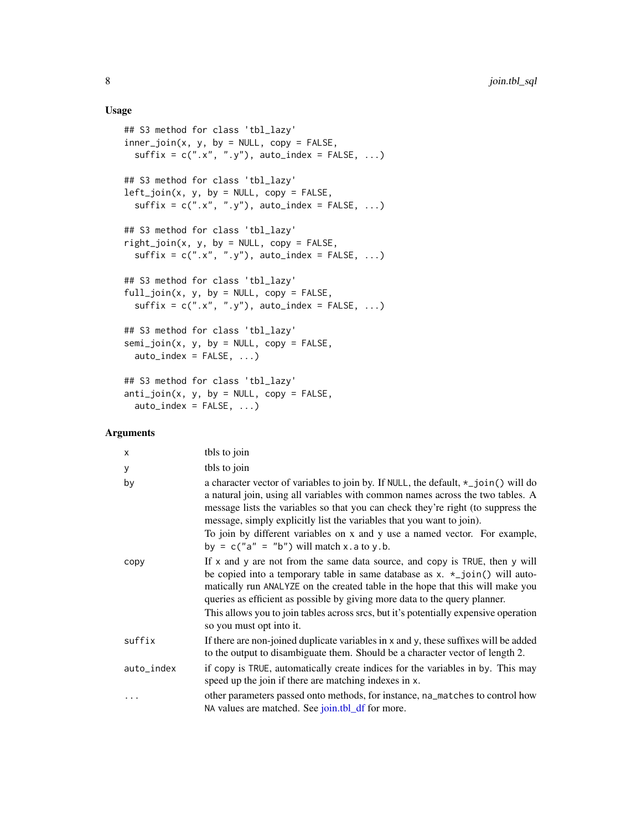#### Usage

```
## S3 method for class 'tbl_lazy'
inner\_join(x, y, by = NULL, copy = FALSE,sufficient = c("x", "y"), auto_index = FALSE, ...)## S3 method for class 'tbl_lazy'
left\_join(x, y, by = NULL, copy = FALSE,sufficient x = c("x", "y"), auto_index = FALSE, ...)## S3 method for class 'tbl_lazy'
right\_join(x, y, by = NULL, copy = FALSE,sufficient x = c("x", "y"), auto_index = FALSE, ...)## S3 method for class 'tbl_lazy'
full\_join(x, y, by = NULL, copy = FALSE,sufficient = c("x", "y"), auto_index = FALSE, ...)## S3 method for class 'tbl_lazy'
semi\_join(x, y, by = NULL, copy = FALSE,auto\_index = FALSE, ...)## S3 method for class 'tbl_lazy'
anti\_join(x, y, by = NULL, copy = FALSE,auto\_index = FALSE, ...)
```
# Arguments

| X          | tbls to join                                                                                                                                                                                                                                                                                                                                                                                                                                                         |
|------------|----------------------------------------------------------------------------------------------------------------------------------------------------------------------------------------------------------------------------------------------------------------------------------------------------------------------------------------------------------------------------------------------------------------------------------------------------------------------|
| У          | tbls to join                                                                                                                                                                                                                                                                                                                                                                                                                                                         |
| by         | a character vector of variables to join by. If NULL, the default, $\star$ _join() will do<br>a natural join, using all variables with common names across the two tables. A<br>message lists the variables so that you can check they're right (to suppress the<br>message, simply explicitly list the variables that you want to join).<br>To join by different variables on x and y use a named vector. For example,<br>by = $c("a" = "b")$ will match x.a to y.b. |
| copy       | If $x$ and $y$ are not from the same data source, and copy is TRUE, then $y$ will<br>be copied into a temporary table in same database as $x. *$ join() will auto-<br>matically run ANALYZE on the created table in the hope that this will make you<br>queries as efficient as possible by giving more data to the query planner.<br>This allows you to join tables across srcs, but it's potentially expensive operation<br>so you must opt into it.               |
| suffix     | If there are non-joined duplicate variables in x and y, these suffixes will be added<br>to the output to disambiguate them. Should be a character vector of length 2.                                                                                                                                                                                                                                                                                                |
| auto_index | if copy is TRUE, automatically create indices for the variables in by. This may<br>speed up the join if there are matching indexes in x.                                                                                                                                                                                                                                                                                                                             |
| $\cdots$   | other parameters passed onto methods, for instance, na_matches to control how<br>NA values are matched. See join.tbl_df for more.                                                                                                                                                                                                                                                                                                                                    |

<span id="page-7-0"></span>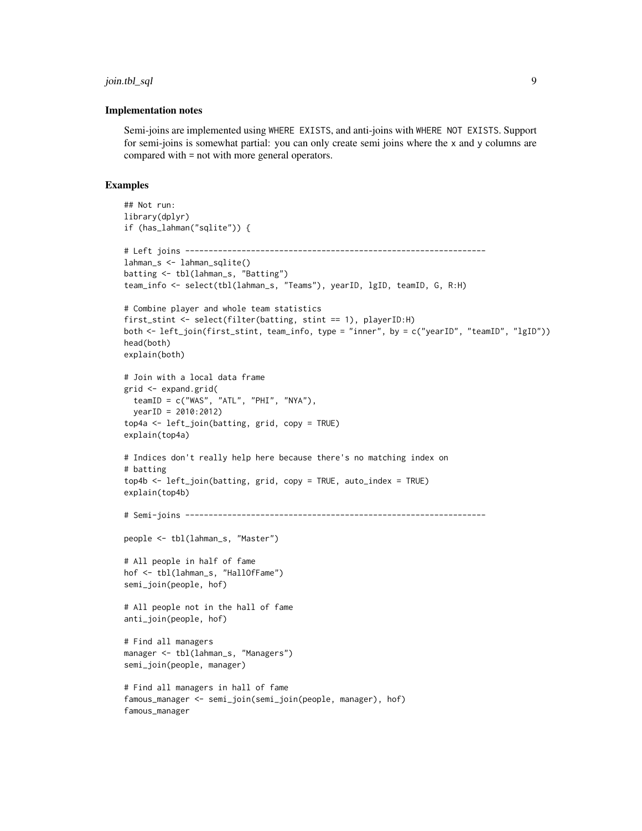#### join.tbl\_sql 9

#### Implementation notes

Semi-joins are implemented using WHERE EXISTS, and anti-joins with WHERE NOT EXISTS. Support for semi-joins is somewhat partial: you can only create semi joins where the x and y columns are compared with = not with more general operators.

```
## Not run:
library(dplyr)
if (has_lahman("sqlite")) {
# Left joins ----------------------------------------------------------------
lahman_s <- lahman_sqlite()
batting <- tbl(lahman_s, "Batting")
team_info <- select(tbl(lahman_s, "Teams"), yearID, lgID, teamID, G, R:H)
# Combine player and whole team statistics
first_stint <- select(filter(batting, stint == 1), playerID:H)
both <- left_join(first_stint, team_info, type = "inner", by = c("yearID", "teamID", "lgID"))
head(both)
explain(both)
# Join with a local data frame
grid <- expand.grid(
  teamID = c("WAS", "ATL", "PHI", "NYA"),
 yearID = 2010:2012)
top4a <- left_join(batting, grid, copy = TRUE)
explain(top4a)
# Indices don't really help here because there's no matching index on
# batting
top4b <- left_join(batting, grid, copy = TRUE, auto_index = TRUE)
explain(top4b)
# Semi-joins ----------------------------------------------------------------
people <- tbl(lahman_s, "Master")
# All people in half of fame
hof <- tbl(lahman_s, "HallOfFame")
semi_join(people, hof)
# All people not in the hall of fame
anti_join(people, hof)
# Find all managers
manager <- tbl(lahman_s, "Managers")
semi_join(people, manager)
# Find all managers in hall of fame
famous_manager <- semi_join(semi_join(people, manager), hof)
famous_manager
```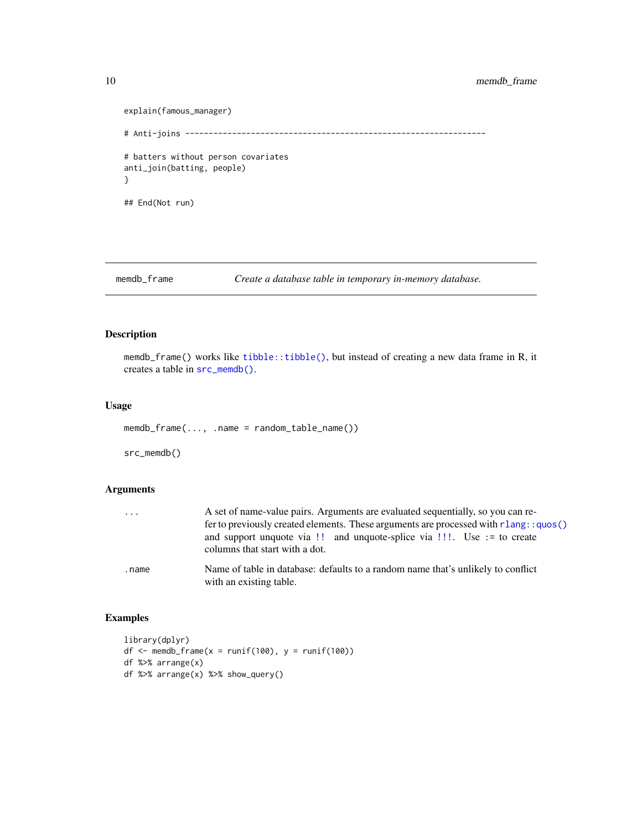# <span id="page-9-0"></span>10 memdb\_frame

```
explain(famous_manager)
# Anti-joins ----------------------------------------------------------------
# batters without person covariates
anti_join(batting, people)
}
## End(Not run)
```
memdb\_frame *Create a database table in temporary in-memory database.*

# <span id="page-9-1"></span>Description

memdb\_frame() works like [tibble::tibble\(\)](#page-0-0), but instead of creating a new data frame in R, it creates a table in [src\\_memdb\(\)](#page-9-1).

#### Usage

memdb\_frame(..., .name = random\_table\_name())

src\_memdb()

# Arguments

| $\cdots$ | A set of name-value pairs. Arguments are evaluated sequentially, so you can re-<br>fer to previously created elements. These arguments are processed with $rlang:ques()$ |
|----------|--------------------------------------------------------------------------------------------------------------------------------------------------------------------------|
|          | and support unquote via $\mathcal{L}$ ! and unquote-splice via $\mathcal{L}$ !! Use := to create<br>columns that start with a dot.                                       |
| .name    | Name of table in database: defaults to a random name that's unlikely to conflict<br>with an existing table.                                                              |

```
library(dplyr)
df \le memdb_frame(x = runif(100), y = runif(100))
df %>% arrange(x)
df %>% arrange(x) %>% show_query()
```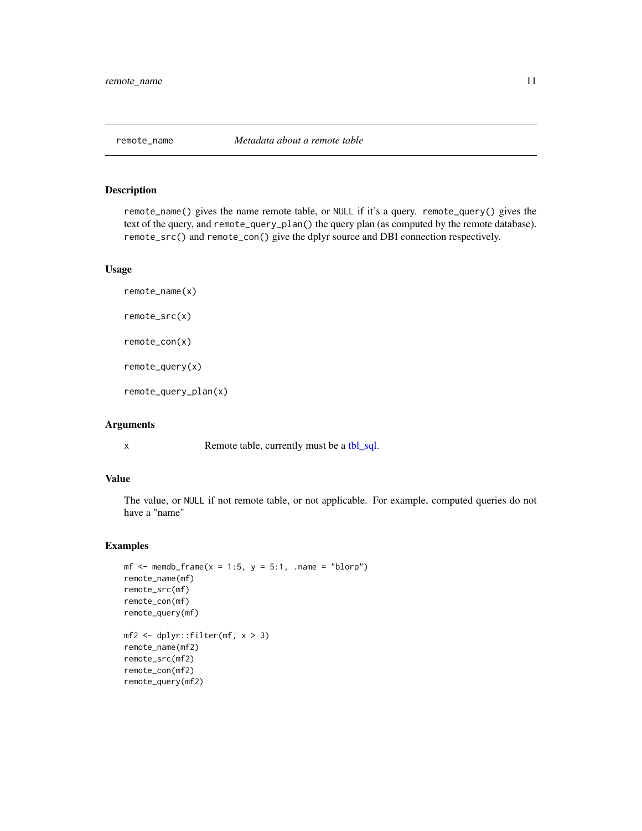<span id="page-10-0"></span>

remote\_name() gives the name remote table, or NULL if it's a query. remote\_query() gives the text of the query, and remote\_query\_plan() the query plan (as computed by the remote database). remote\_src() and remote\_con() give the dplyr source and DBI connection respectively.

#### Usage

```
remote_name(x)
remote_src(x)
remote_con(x)
remote_query(x)
remote_query_plan(x)
```
#### Arguments

x Remote table, currently must be a [tbl\\_sql.](#page-0-0)

#### Value

The value, or NULL if not remote table, or not applicable. For example, computed queries do not have a "name"

```
mf \le memdb_frame(x = 1:5, y = 5:1, .name = "blorp")
remote_name(mf)
remote_src(mf)
remote_con(mf)
remote_query(mf)
mf2 <- dplyr::filter(mf, x > 3)
remote_name(mf2)
remote_src(mf2)
remote_con(mf2)
remote_query(mf2)
```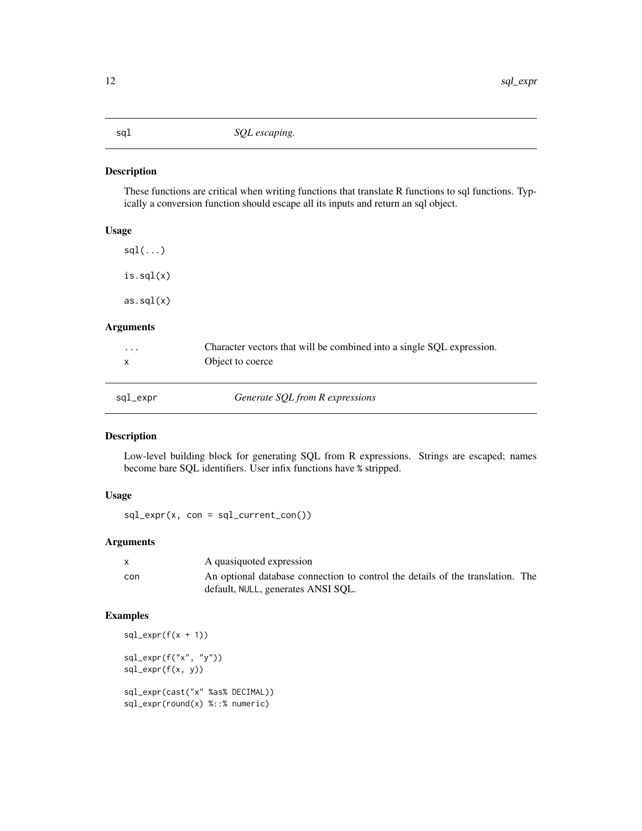<span id="page-11-1"></span><span id="page-11-0"></span>

These functions are critical when writing functions that translate R functions to sql functions. Typically a conversion function should escape all its inputs and return an sql object.

# Usage

 $sgl(\ldots)$ is.sql(x) as.sql(x)

# Arguments

| $\cdots$ | Character vectors that will be combined into a single SQL expression.<br>Object to coerce |  |
|----------|-------------------------------------------------------------------------------------------|--|
|          |                                                                                           |  |
| sql_expr | Generate SQL from R expressions                                                           |  |

# Description

Low-level building block for generating SQL from R expressions. Strings are escaped; names become bare SQL identifiers. User infix functions have % stripped.

# Usage

 $sal\_expr(x, con = sql\_current\_con())$ 

# Arguments

| X   | A quasiquoted expression                                                       |
|-----|--------------------------------------------------------------------------------|
| con | An optional database connection to control the details of the translation. The |
|     | default, NULL, generates ANSI SQL.                                             |

```
sal\_expr(f(x + 1))sql_expr(f("x", "y"))
sql_expr(f(x, y))
sql_expr(cast("x" %as% DECIMAL))
sql_expr(round(x) %::% numeric)
```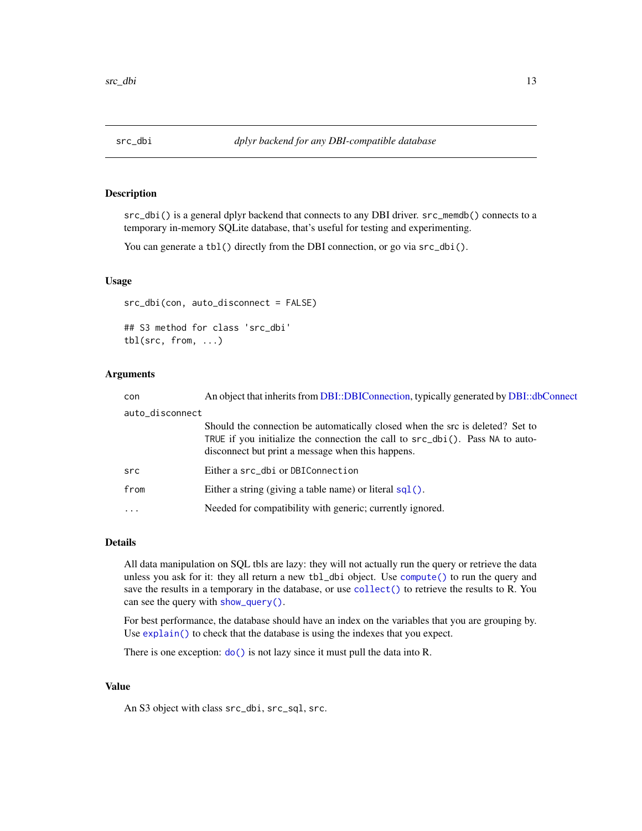<span id="page-12-0"></span>

src\_dbi() is a general dplyr backend that connects to any DBI driver. src\_memdb() connects to a temporary in-memory SQLite database, that's useful for testing and experimenting.

You can generate a tbl() directly from the DBI connection, or go via  $src\_dbi()$ .

#### Usage

src\_dbi(con, auto\_disconnect = FALSE)

## S3 method for class 'src\_dbi' tbl(src, from, ...)

# Arguments

| con             | An object that inherits from DBI::DBIConnection, typically generated by DBI::dbConnect                                                                                                                                  |
|-----------------|-------------------------------------------------------------------------------------------------------------------------------------------------------------------------------------------------------------------------|
| auto_disconnect |                                                                                                                                                                                                                         |
|                 | Should the connection be automatically closed when the src is deleted? Set to<br>TRUE if you initialize the connection the call to $src\_dbi()$ . Pass NA to auto-<br>disconnect but print a message when this happens. |
| src             | Either a src_dbi or DBIConnection                                                                                                                                                                                       |
| from            | Either a string (giving a table name) or literal $sq1()$ .                                                                                                                                                              |
| $\ddots$ .      | Needed for compatibility with generic; currently ignored.                                                                                                                                                               |

#### Details

All data manipulation on SQL tbls are lazy: they will not actually run the query or retrieve the data unless you ask for it: they all return a new tbl\_dbi object. Use [compute\(\)](#page-0-0) to run the query and save the results in a temporary in the database, or use [collect\(\)](#page-0-0) to retrieve the results to R. You can see the query with [show\\_query\(\)](#page-0-0).

For best performance, the database should have an index on the variables that you are grouping by. Use [explain\(\)](#page-0-0) to check that the database is using the indexes that you expect.

There is one exception:  $do()$  is not lazy since it must pull the data into R.

#### Value

An S3 object with class src\_dbi, src\_sql, src.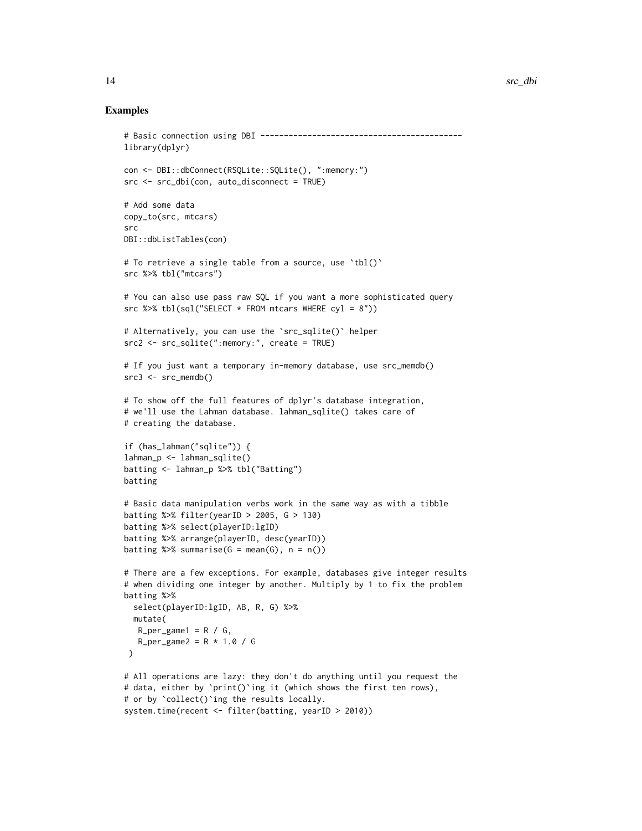```
# Basic connection using DBI -------------------------------------------
library(dplyr)
con <- DBI::dbConnect(RSQLite::SQLite(), ":memory:")
src <- src_dbi(con, auto_disconnect = TRUE)
# Add some data
copy_to(src, mtcars)
src
DBI::dbListTables(con)
# To retrieve a single table from a source, use `tbl()`
src %>% tbl("mtcars")
# You can also use pass raw SQL if you want a more sophisticated query
src %>% tbl(sql("SELECT * FROM mtcars WHERE cyl = 8"))
# Alternatively, you can use the `src_sqlite()` helper
src2 <- src_sqlite(":memory:", create = TRUE)
# If you just want a temporary in-memory database, use src_memdb()
src3 \leq src_meandb()# To show off the full features of dplyr's database integration,
# we'll use the Lahman database. lahman_sqlite() takes care of
# creating the database.
if (has_lahman("sqlite")) {
lahman_p <- lahman_sqlite()
batting <- lahman_p %>% tbl("Batting")
batting
# Basic data manipulation verbs work in the same way as with a tibble
batting %>% filter(yearID > 2005, G > 130)
batting %>% select(playerID:lgID)
batting %>% arrange(playerID, desc(yearID))
batting \gg% summarise(G = mean(G), n = n())
# There are a few exceptions. For example, databases give integer results
# when dividing one integer by another. Multiply by 1 to fix the problem
batting %>%
  select(playerID:lgID, AB, R, G) %>%
  mutate(
  R_{per\_game1} = R / G,
   R_{per\_game2} = R * 1.0 / G)
# All operations are lazy: they don't do anything until you request the
# data, either by `print()`ing it (which shows the first ten rows),
# or by `collect()`ing the results locally.
system.time(recent <- filter(batting, yearID > 2010))
```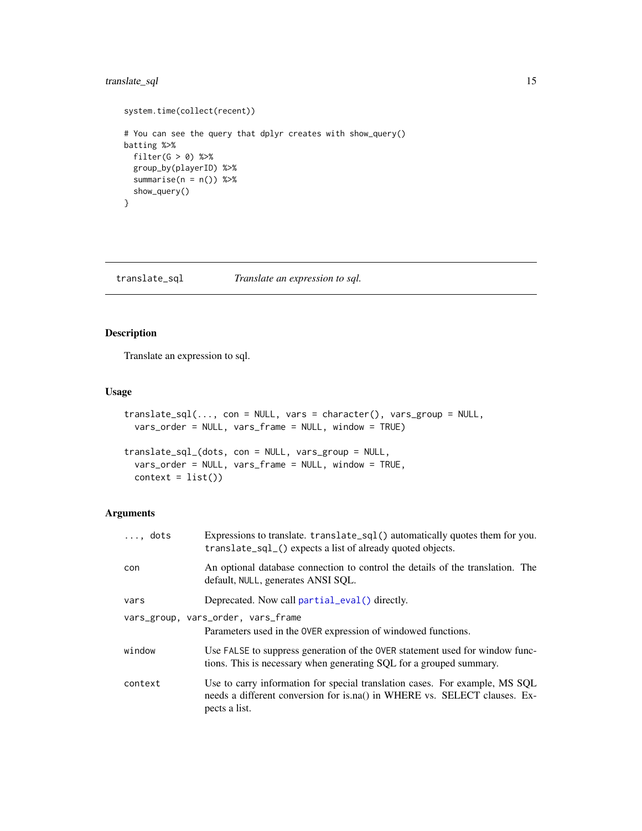# <span id="page-14-0"></span>translate\_sql 15

```
system.time(collect(recent))
# You can see the query that dplyr creates with show_query()
batting %>%
 filter(G > 0) %>%
 group_by(playerID) %>%
  summarise(n = n()) %>%
  show_query()
}
```
translate\_sql *Translate an expression to sql.*

# Description

Translate an expression to sql.

#### Usage

```
translate_sql(..., con = NULL, vars = character(), vars_group = NULL,
 vars_order = NULL, vars_frame = NULL, window = TRUE)
```

```
translate_sql_(dots, con = NULL, vars_group = NULL,
 vars_order = NULL, vars_frame = NULL, window = TRUE,
 context = list()
```
# Arguments

| $\ldots$ , dots | Expressions to translate. $translate\_sq1()$ automatically quotes them for you.<br>translate_sql_() expects a list of already quoted objects.                             |
|-----------------|---------------------------------------------------------------------------------------------------------------------------------------------------------------------------|
| con             | An optional database connection to control the details of the translation. The<br>default, NULL, generates ANSI SQL.                                                      |
| vars            | Deprecated. Now call partial_eval() directly.                                                                                                                             |
|                 | vars_group, vars_order, vars_frame<br>Parameters used in the OVER expression of windowed functions.                                                                       |
| window          | Use FALSE to suppress generation of the OVER statement used for window func-<br>tions. This is necessary when generating SQL for a grouped summary.                       |
| context         | Use to carry information for special translation cases. For example, MS SQL<br>needs a different conversion for is.na() in WHERE vs. SELECT clauses. Ex-<br>pects a list. |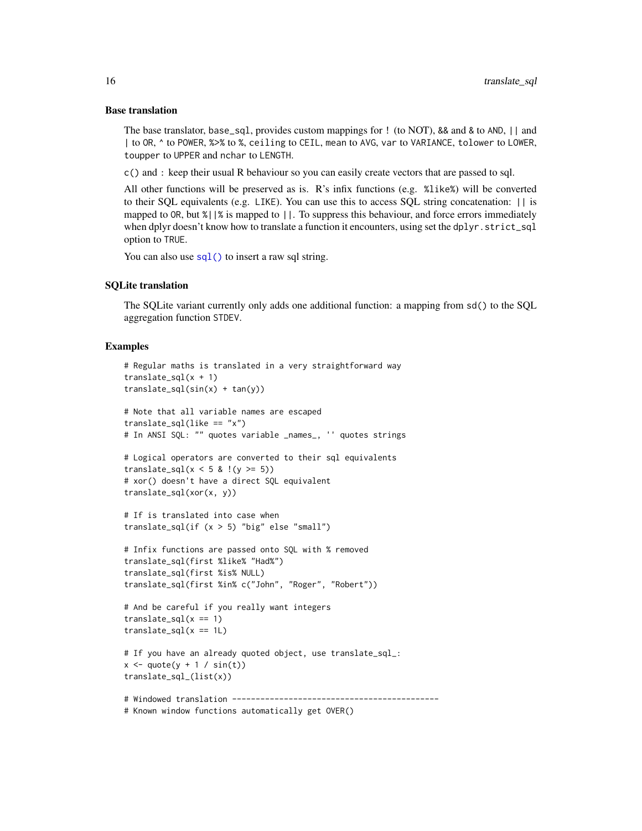#### <span id="page-15-0"></span>Base translation

The base translator, base\_sql, provides custom mappings for ! (to NOT), && and & to AND, || and | to OR, ^ to POWER, %>% to %, ceiling to CEIL, mean to AVG, var to VARIANCE, tolower to LOWER, toupper to UPPER and nchar to LENGTH.

c() and : keep their usual R behaviour so you can easily create vectors that are passed to sql.

All other functions will be preserved as is. R's infix functions (e.g. %like%) will be converted to their SQL equivalents (e.g. LIKE). You can use this to access SQL string concatenation: || is mapped to OR, but %||% is mapped to ||. To suppress this behaviour, and force errors immediately when dplyr doesn't know how to translate a function it encounters, using set the dplyr.strict\_sql option to TRUE.

You can also use  $\text{sgl}(\cdot)$  to insert a raw sql string.

#### SQLite translation

The SQLite variant currently only adds one additional function: a mapping from sd() to the SQL aggregation function STDEV.

```
# Regular maths is translated in a very straightforward way
translate_sql(x + 1)translate_sql(sin(x) + tan(y))# Note that all variable names are escaped
translate_sql(like == "x")# In ANSI SQL: "" quotes variable _names_, '' quotes strings
# Logical operators are converted to their sql equivalents
translate_sql(x < 5 & !(y >= 5))
# xor() doesn't have a direct SQL equivalent
translate_sql(xor(x, y))
# If is translated into case when
translate_sql(if (x > 5) "big" else "small")
# Infix functions are passed onto SQL with % removed
translate_sql(first %like% "Had%")
translate_sql(first %is% NULL)
translate_sql(first %in% c("John", "Roger", "Robert"))
# And be careful if you really want integers
translate_sql(x == 1)translate_sql(x == 1L)# If you have an already quoted object, use translate_sql_:
x \leq - quote(y + 1 / sin(t))
translate_sql_(list(x))
# Windowed translation --------------------------------------------
# Known window functions automatically get OVER()
```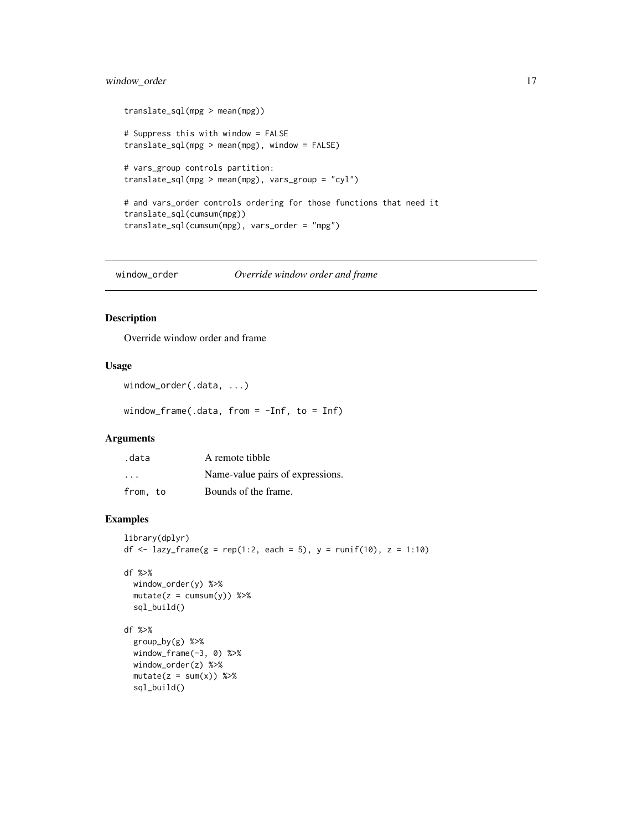# <span id="page-16-0"></span>window\_order 17

```
translate_sql(mpg > mean(mpg))
# Suppress this with window = FALSE
translate_sql(mpg > mean(mpg), window = FALSE)
# vars_group controls partition:
translate_sql(mpg > mean(mpg), vars_group = "cyl")
# and vars_order controls ordering for those functions that need it
translate_sql(cumsum(mpg))
translate_sql(cumsum(mpg), vars_order = "mpg")
```
window\_order *Override window order and frame*

# Description

Override window order and frame

#### Usage

```
window_order(.data, ...)
```
window\_frame(.data, from = -Inf, to = Inf)

#### Arguments

| .data                   | A remote tibble                  |
|-------------------------|----------------------------------|
| $\cdot$ $\cdot$ $\cdot$ | Name-value pairs of expressions. |
| from, to                | Bounds of the frame.             |

```
library(dplyr)
df <- lazy_frame(g = rep(1:2, each = 5), y = runif(10), z = 1:10)
```

```
df %>%
 window_order(y) %>%
 mutate(z = cumsum(y)) %sql_build()
```

```
df %>%
 group_by(g) %>%
 window_frame(-3, 0) %>%
 window_order(z) %>%
 mutate(z = sum(x)) %sql_build()
```